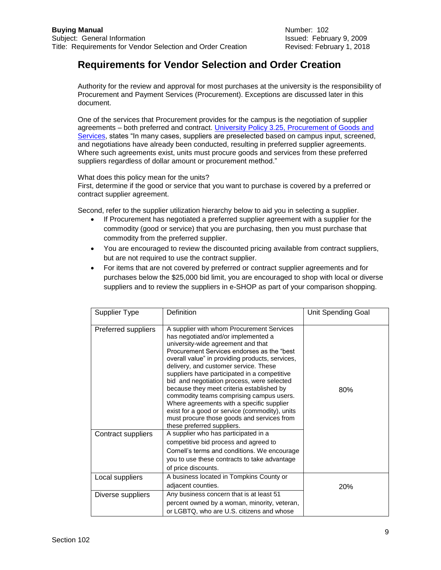## **Requirements for Vendor Selection and Order Creation**

Authority for the review and approval for most purchases at the university is the responsibility of Procurement and Payment Services (Procurement). Exceptions are discussed later in this document.

One of the services that Procurement provides for the campus is the negotiation of supplier agreements – both preferred and contract. [University Policy 3.25, Procurement of Goods and](https://www.dfa.cornell.edu/sites/default/files/policy/vol3_25.pdf)  [Services,](https://www.dfa.cornell.edu/sites/default/files/policy/vol3_25.pdf) states "In many cases, suppliers are preselected based on campus input, screened, and negotiations have already been conducted, resulting in preferred supplier agreements. Where such agreements exist, units must procure goods and services from these preferred suppliers regardless of dollar amount or procurement method."

What does this policy mean for the units?

First, determine if the good or service that you want to purchase is covered by a preferred or contract supplier agreement.

Second, refer to the supplier utilization hierarchy below to aid you in selecting a supplier.

- If Procurement has negotiated a preferred supplier agreement with a supplier for the commodity (good or service) that you are purchasing, then you must purchase that commodity from the preferred supplier.
- You are encouraged to review the discounted pricing available from contract suppliers, but are not required to use the contract supplier.
- For items that are not covered by preferred or contract supplier agreements and for purchases below the \$25,000 bid limit, you are encouraged to shop with local or diverse suppliers and to review the suppliers in e-SHOP as part of your comparison shopping.

| Supplier Type       | Definition                                                                                                                                                                                                                                                                                                                                                                                                                                                                                                                                                                                                                          | <b>Unit Spending Goal</b> |
|---------------------|-------------------------------------------------------------------------------------------------------------------------------------------------------------------------------------------------------------------------------------------------------------------------------------------------------------------------------------------------------------------------------------------------------------------------------------------------------------------------------------------------------------------------------------------------------------------------------------------------------------------------------------|---------------------------|
| Preferred suppliers | A supplier with whom Procurement Services<br>has negotiated and/or implemented a<br>university-wide agreement and that<br>Procurement Services endorses as the "best"<br>overall value" in providing products, services,<br>delivery, and customer service. These<br>suppliers have participated in a competitive<br>bid and negotiation process, were selected<br>because they meet criteria established by<br>commodity teams comprising campus users.<br>Where agreements with a specific supplier<br>exist for a good or service (commodity), units<br>must procure those goods and services from<br>these preferred suppliers. | 80%                       |
| Contract suppliers  | A supplier who has participated in a<br>competitive bid process and agreed to<br>Cornell's terms and conditions. We encourage<br>you to use these contracts to take advantage<br>of price discounts.                                                                                                                                                                                                                                                                                                                                                                                                                                |                           |
| Local suppliers     | A business located in Tompkins County or<br>adjacent counties.                                                                                                                                                                                                                                                                                                                                                                                                                                                                                                                                                                      | 20%                       |
| Diverse suppliers   | Any business concern that is at least 51<br>percent owned by a woman, minority, veteran,<br>or LGBTQ, who are U.S. citizens and whose                                                                                                                                                                                                                                                                                                                                                                                                                                                                                               |                           |